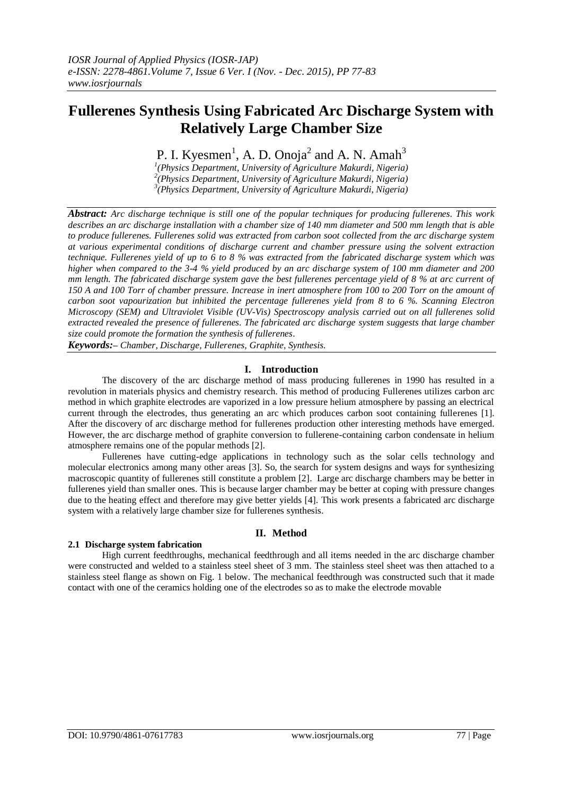# **Fullerenes Synthesis Using Fabricated Arc Discharge System with Relatively Large Chamber Size**

P. I. Kyesmen<sup>1</sup>, A. D. Onoja<sup>2</sup> and A. N. Amah<sup>3</sup>

*1 (Physics Department, University of Agriculture Makurdi, Nigeria) 2 (Physics Department, University of Agriculture Makurdi, Nigeria) 3 (Physics Department, University of Agriculture Makurdi, Nigeria)*

*Abstract: Arc discharge technique is still one of the popular techniques for producing fullerenes. This work describes an arc discharge installation with a chamber size of 140 mm diameter and 500 mm length that is able to produce fullerenes. Fullerenes solid was extracted from carbon soot collected from the arc discharge system at various experimental conditions of discharge current and chamber pressure using the solvent extraction technique. Fullerenes yield of up to 6 to 8 % was extracted from the fabricated discharge system which was higher when compared to the 3-4 % yield produced by an arc discharge system of 100 mm diameter and 200 mm length. The fabricated discharge system gave the best fullerenes percentage yield of 8 % at arc current of 150 A and 100 Torr of chamber pressure. Increase in inert atmosphere from 100 to 200 Torr on the amount of carbon soot vapourization but inhibited the percentage fullerenes yield from 8 to 6 %. Scanning Electron Microscopy (SEM) and Ultraviolet Visible (UV-Vis) Spectroscopy analysis carried out on all fullerenes solid extracted revealed the presence of fullerenes. The fabricated arc discharge system suggests that large chamber size could promote the formation the synthesis of fullerenes.*

*Keywords:– Chamber, Discharge, Fullerenes, Graphite, Synthesis.*

# **I. Introduction**

The discovery of the arc discharge method of mass producing fullerenes in 1990 has resulted in a revolution in materials physics and chemistry research. This method of producing Fullerenes utilizes carbon arc method in which graphite electrodes are vaporized in a low pressure helium atmosphere by passing an electrical current through the electrodes, thus generating an arc which produces carbon soot containing fullerenes [1]. After the discovery of arc discharge method for fullerenes production other interesting methods have emerged. However, the arc discharge method of graphite conversion to fullerene-containing carbon condensate in helium atmosphere remains one of the popular methods [2].

Fullerenes have cutting-edge applications in technology such as the solar cells technology and molecular electronics among many other areas [3]. So, the search for system designs and ways for synthesizing macroscopic quantity of fullerenes still constitute a problem [2]. Large arc discharge chambers may be better in fullerenes yield than smaller ones. This is because larger chamber may be better at coping with pressure changes due to the heating effect and therefore may give better yields [4]. This work presents a fabricated arc discharge system with a relatively large chamber size for fullerenes synthesis.

# **II. Method**

# **2.1 Discharge system fabrication**

High current feedthroughs, mechanical feedthrough and all items needed in the arc discharge chamber were constructed and welded to a stainless steel sheet of 3 mm. The stainless steel sheet was then attached to a stainless steel flange as shown on Fig. 1 below. The mechanical feedthrough was constructed such that it made contact with one of the ceramics holding one of the electrodes so as to make the electrode movable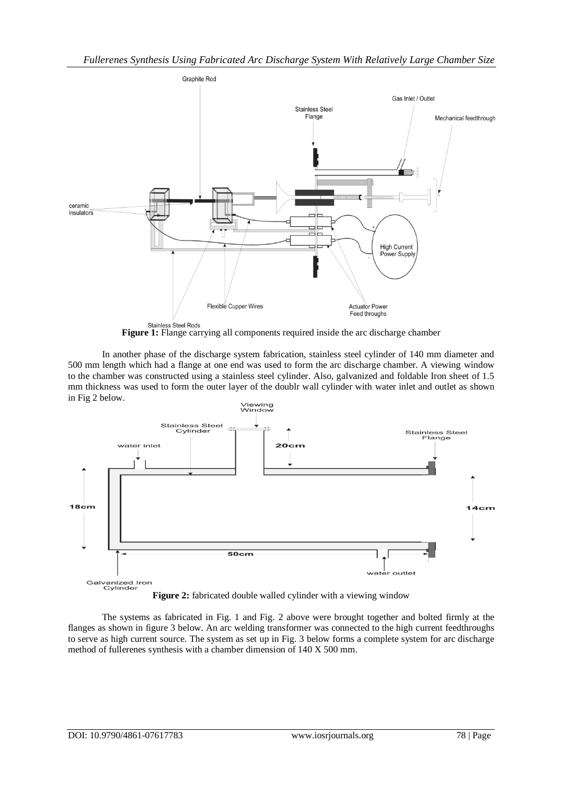

**Figure 1:** Flange carrying all components required inside the arc discharge chamber

In another phase of the discharge system fabrication, stainless steel cylinder of 140 mm diameter and 500 mm length which had a flange at one end was used to form the arc discharge chamber. A viewing window to the chamber was constructed using a stainless steel cylinder. Also, galvanized and foldable Iron sheet of 1.5 mm thickness was used to form the outer layer of the doublr wall cylinder with water inlet and outlet as shown in Fig 2 below.



**Figure 2:** fabricated double walled cylinder with a viewing window

The systems as fabricated in Fig. 1 and Fig. 2 above were brought together and bolted firmly at the flanges as shown in figure 3 below. An arc welding transformer was connected to the high current feedthroughs to serve as high current source. The system as set up in Fig. 3 below forms a complete system for arc discharge method of fullerenes synthesis with a chamber dimension of 140 X 500 mm.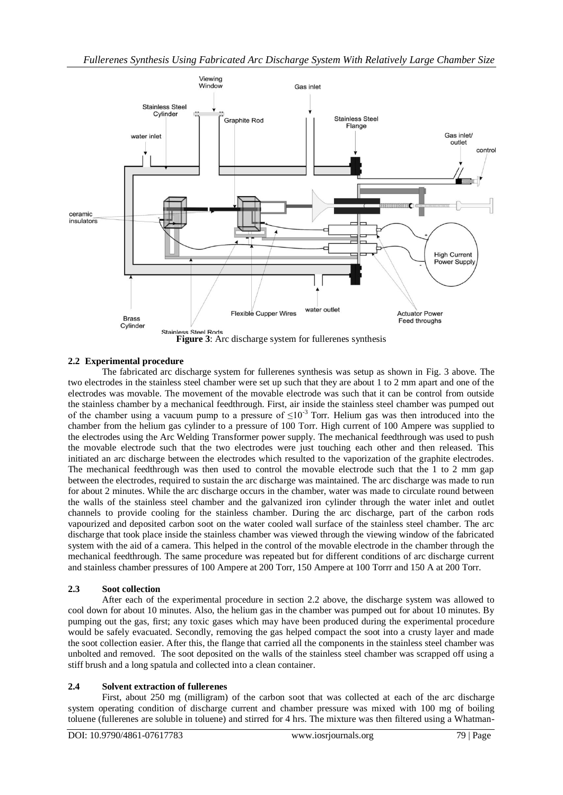

# **2.2 Experimental procedure**

The fabricated arc discharge system for fullerenes synthesis was setup as shown in Fig. 3 above. The two electrodes in the stainless steel chamber were set up such that they are about 1 to 2 mm apart and one of the electrodes was movable. The movement of the movable electrode was such that it can be control from outside the stainless chamber by a mechanical feedthrough. First, air inside the stainless steel chamber was pumped out of the chamber using a vacuum pump to a pressure of  $\leq 10^{-3}$  Torr. Helium gas was then introduced into the chamber from the helium gas cylinder to a pressure of 100 Torr. High current of 100 Ampere was supplied to the electrodes using the Arc Welding Transformer power supply. The mechanical feedthrough was used to push the movable electrode such that the two electrodes were just touching each other and then released. This initiated an arc discharge between the electrodes which resulted to the vaporization of the graphite electrodes. The mechanical feedthrough was then used to control the movable electrode such that the 1 to 2 mm gap between the electrodes, required to sustain the arc discharge was maintained. The arc discharge was made to run for about 2 minutes. While the arc discharge occurs in the chamber, water was made to circulate round between the walls of the stainless steel chamber and the galvanized iron cylinder through the water inlet and outlet channels to provide cooling for the stainless chamber. During the arc discharge, part of the carbon rods vapourized and deposited carbon soot on the water cooled wall surface of the stainless steel chamber. The arc discharge that took place inside the stainless chamber was viewed through the viewing window of the fabricated system with the aid of a camera. This helped in the control of the movable electrode in the chamber through the mechanical feedthrough. The same procedure was repeated but for different conditions of arc discharge current and stainless chamber pressures of 100 Ampere at 200 Torr, 150 Ampere at 100 Torrr and 150 A at 200 Torr.

# **2.3 Soot collection**

After each of the experimental procedure in section 2.2 above, the discharge system was allowed to cool down for about 10 minutes. Also, the helium gas in the chamber was pumped out for about 10 minutes. By pumping out the gas, first; any toxic gases which may have been produced during the experimental procedure would be safely evacuated. Secondly, removing the gas helped compact the soot into a crusty layer and made the soot collection easier. After this, the flange that carried all the components in the stainless steel chamber was unbolted and removed. The soot deposited on the walls of the stainless steel chamber was scrapped off using a stiff brush and a long spatula and collected into a clean container.

#### **2.4 Solvent extraction of fullerenes**

First, about 250 mg (milligram) of the carbon soot that was collected at each of the arc discharge system operating condition of discharge current and chamber pressure was mixed with 100 mg of boiling toluene (fullerenes are soluble in toluene) and stirred for 4 hrs. The mixture was then filtered using a Whatman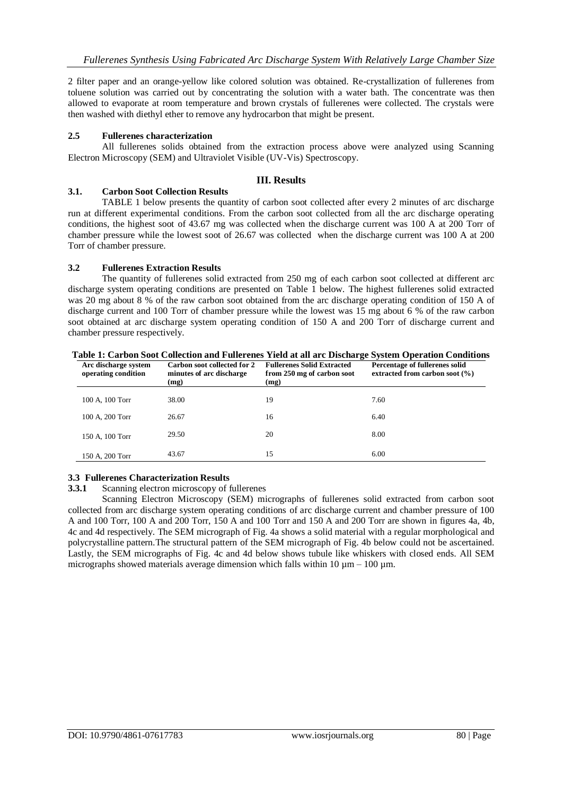2 filter paper and an orange-yellow like colored solution was obtained. Re-crystallization of fullerenes from toluene solution was carried out by concentrating the solution with a water bath. The concentrate was then allowed to evaporate at room temperature and brown crystals of fullerenes were collected. The crystals were then washed with diethyl ether to remove any hydrocarbon that might be present.

## **2.5 Fullerenes characterization**

All fullerenes solids obtained from the extraction process above were analyzed using Scanning Electron Microscopy (SEM) and Ultraviolet Visible (UV-Vis) Spectroscopy.

# **III. Results**

#### **3.1. Carbon Soot Collection Results**

TABLE 1 below presents the quantity of carbon soot collected after every 2 minutes of arc discharge run at different experimental conditions. From the carbon soot collected from all the arc discharge operating conditions, the highest soot of 43.67 mg was collected when the discharge current was 100 A at 200 Torr of chamber pressure while the lowest soot of 26.67 was collected when the discharge current was 100 A at 200 Torr of chamber pressure.

## **3.2 Fullerenes Extraction Results**

The quantity of fullerenes solid extracted from 250 mg of each carbon soot collected at different arc discharge system operating conditions are presented on Table 1 below. The highest fullerenes solid extracted was 20 mg about 8 % of the raw carbon soot obtained from the arc discharge operating condition of 150 A of discharge current and 100 Torr of chamber pressure while the lowest was 15 mg about 6 % of the raw carbon soot obtained at arc discharge system operating condition of 150 A and 200 Torr of discharge current and chamber pressure respectively.

| Arc discharge system<br>operating condition | Carbon soot collected for 2<br>minutes of arc discharge<br>(mg) | <b>Fullerenes Solid Extracted</b><br>from 250 mg of carbon soot<br>(mg) | Percentage of fullerenes solid<br>extracted from carbon soot $(\% )$ |
|---------------------------------------------|-----------------------------------------------------------------|-------------------------------------------------------------------------|----------------------------------------------------------------------|
| 100 A, 100 Torr                             | 38.00                                                           | 19                                                                      | 7.60                                                                 |
| 100 A, 200 Torr                             | 26.67                                                           | 16                                                                      | 6.40                                                                 |
| 150 A, 100 Torr                             | 29.50                                                           | 20                                                                      | 8.00                                                                 |
| 150 A, 200 Torr                             | 43.67                                                           | 15                                                                      | 6.00                                                                 |

**Table 1: Carbon Soot Collection and Fullerenes Yield at all arc Discharge System Operation Conditions**

# **3.3 Fullerenes Characterization Results**

**3.3.1** Scanning electron microscopy of fullerenes

Scanning Electron Microscopy (SEM) micrographs of fullerenes solid extracted from carbon soot collected from arc discharge system operating conditions of arc discharge current and chamber pressure of 100 A and 100 Torr, 100 A and 200 Torr, 150 A and 100 Torr and 150 A and 200 Torr are shown in figures 4a, 4b, 4c and 4d respectively. The SEM micrograph of Fig. 4a shows a solid material with a regular morphological and polycrystalline pattern.The structural pattern of the SEM micrograph of Fig. 4b below could not be ascertained. Lastly, the SEM micrographs of Fig. 4c and 4d below shows tubule like whiskers with closed ends. All SEM micrographs showed materials average dimension which falls within  $10 \text{ µm} - 100 \text{ µm}$ .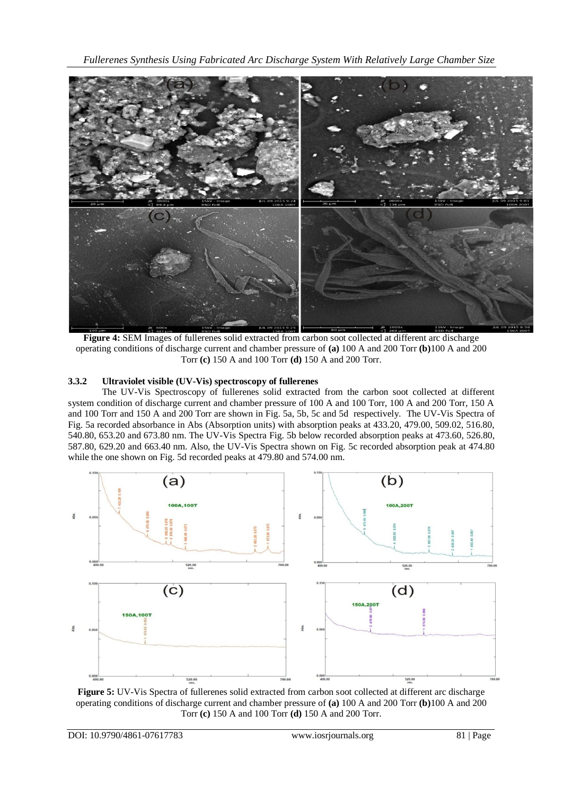*Fullerenes Synthesis Using Fabricated Arc Discharge System With Relatively Large Chamber Size*



**Figure 4:** SEM Images of fullerenes solid extracted from carbon soot collected at different arc discharge operating conditions of discharge current and chamber pressure of **(a)** 100 A and 200 Torr **(b)**100 A and 200 Torr **(c)** 150 A and 100 Torr **(d)** 150 A and 200 Torr.

# **3.3.2 Ultraviolet visible (UV-Vis) spectroscopy of fullerenes**

The UV-Vis Spectroscopy of fullerenes solid extracted from the carbon soot collected at different system condition of discharge current and chamber pressure of 100 A and 100 Torr, 100 A and 200 Torr, 150 A and 100 Torr and 150 A and 200 Torr are shown in Fig. 5a, 5b, 5c and 5d respectively. The UV-Vis Spectra of Fig. 5a recorded absorbance in Abs (Absorption units) with absorption peaks at 433.20, 479.00, 509.02, 516.80, 540.80, 653.20 and 673.80 nm. The UV-Vis Spectra Fig. 5b below recorded absorption peaks at 473.60, 526.80, 587.80, 629.20 and 663.40 nm. Also, the UV-Vis Spectra shown on Fig. 5c recorded absorption peak at 474.80 while the one shown on Fig. 5d recorded peaks at 479.80 and 574.00 nm.



**Figure 5:** UV-Vis Spectra of fullerenes solid extracted from carbon soot collected at different arc discharge operating conditions of discharge current and chamber pressure of **(a)** 100 A and 200 Torr **(b)**100 A and 200 Torr **(c)** 150 A and 100 Torr **(d)** 150 A and 200 Torr.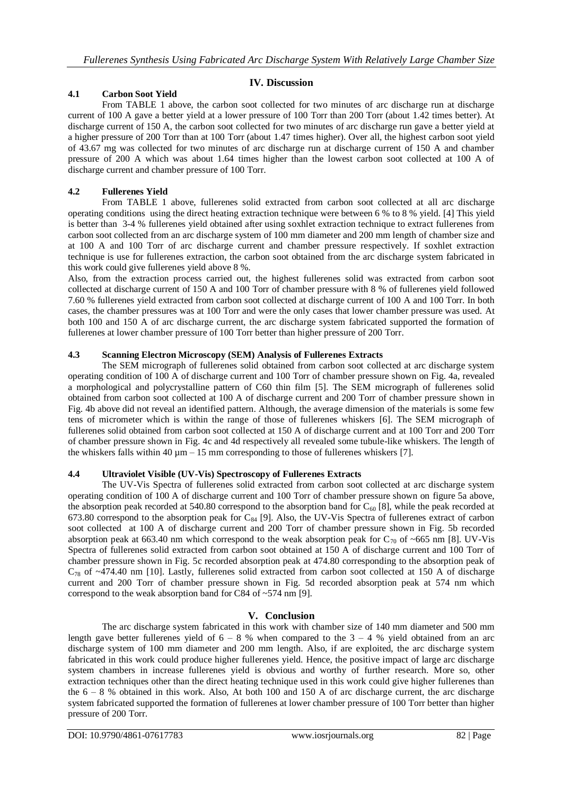# **IV. Discussion**

## **4.1 Carbon Soot Yield**

From TABLE 1 above, the carbon soot collected for two minutes of arc discharge run at discharge current of 100 A gave a better yield at a lower pressure of 100 Torr than 200 Torr (about 1.42 times better). At discharge current of 150 A, the carbon soot collected for two minutes of arc discharge run gave a better yield at a higher pressure of 200 Torr than at 100 Torr (about 1.47 times higher). Over all, the highest carbon soot yield of 43.67 mg was collected for two minutes of arc discharge run at discharge current of 150 A and chamber pressure of 200 A which was about 1.64 times higher than the lowest carbon soot collected at 100 A of discharge current and chamber pressure of 100 Torr.

## **4.2 Fullerenes Yield**

From TABLE 1 above, fullerenes solid extracted from carbon soot collected at all arc discharge operating conditions using the direct heating extraction technique were between 6 % to 8 % yield. [4] This yield is better than 3-4 % fullerenes yield obtained after using soxhlet extraction technique to extract fullerenes from carbon soot collected from an arc discharge system of 100 mm diameter and 200 mm length of chamber size and at 100 A and 100 Torr of arc discharge current and chamber pressure respectively. If soxhlet extraction technique is use for fullerenes extraction, the carbon soot obtained from the arc discharge system fabricated in this work could give fullerenes yield above 8 %.

Also, from the extraction process carried out, the highest fullerenes solid was extracted from carbon soot collected at discharge current of 150 A and 100 Torr of chamber pressure with 8 % of fullerenes yield followed 7.60 % fullerenes yield extracted from carbon soot collected at discharge current of 100 A and 100 Torr. In both cases, the chamber pressures was at 100 Torr and were the only cases that lower chamber pressure was used. At both 100 and 150 A of arc discharge current, the arc discharge system fabricated supported the formation of fullerenes at lower chamber pressure of 100 Torr better than higher pressure of 200 Torr.

## **4.3 Scanning Electron Microscopy (SEM) Analysis of Fullerenes Extracts**

The SEM micrograph of fullerenes solid obtained from carbon soot collected at arc discharge system operating condition of 100 A of discharge current and 100 Torr of chamber pressure shown on Fig. 4a, revealed a morphological and polycrystalline pattern of C60 thin film [5]. The SEM micrograph of fullerenes solid obtained from carbon soot collected at 100 A of discharge current and 200 Torr of chamber pressure shown in Fig. 4b above did not reveal an identified pattern. Although, the average dimension of the materials is some few tens of micrometer which is within the range of those of fullerenes whiskers [6]. The SEM micrograph of fullerenes solid obtained from carbon soot collected at 150 A of discharge current and at 100 Torr and 200 Torr of chamber pressure shown in Fig. 4c and 4d respectively all revealed some tubule-like whiskers. The length of the whiskers falls within 40  $\mu$ m – 15 mm corresponding to those of fullerenes whiskers [7].

#### **4.4 Ultraviolet Visible (UV-Vis) Spectroscopy of Fullerenes Extracts**

The UV-Vis Spectra of fullerenes solid extracted from carbon soot collected at arc discharge system operating condition of 100 A of discharge current and 100 Torr of chamber pressure shown on figure 5a above, the absorption peak recorded at 540.80 correspond to the absorption band for  $C_{60}$  [8], while the peak recorded at 673.80 correspond to the absorption peak for  $C_{84}$  [9]. Also, the UV-Vis Spectra of fullerenes extract of carbon soot collected at 100 A of discharge current and 200 Torr of chamber pressure shown in Fig. 5b recorded absorption peak at 663.40 nm which correspond to the weak absorption peak for  $C_{70}$  of ~665 nm [8]. UV-Vis Spectra of fullerenes solid extracted from carbon soot obtained at 150 A of discharge current and 100 Torr of chamber pressure shown in Fig. 5c recorded absorption peak at 474.80 corresponding to the absorption peak of  $C_{78}$  of  $\sim$ 474.40 nm [10]. Lastly, fullerenes solid extracted from carbon soot collected at 150 A of discharge current and 200 Torr of chamber pressure shown in Fig. 5d recorded absorption peak at 574 nm which correspond to the weak absorption band for C84 of ~574 nm [9].

# **V. Conclusion**

The arc discharge system fabricated in this work with chamber size of 140 mm diameter and 500 mm length gave better fullerenes yield of  $6 - 8$  % when compared to the  $3 - 4$  % yield obtained from an arc discharge system of 100 mm diameter and 200 mm length. Also, if are exploited, the arc discharge system fabricated in this work could produce higher fullerenes yield. Hence, the positive impact of large arc discharge system chambers in increase fullerenes yield is obvious and worthy of further research. More so, other extraction techniques other than the direct heating technique used in this work could give higher fullerenes than the  $6 - 8$  % obtained in this work. Also, At both 100 and 150 A of arc discharge current, the arc discharge system fabricated supported the formation of fullerenes at lower chamber pressure of 100 Torr better than higher pressure of 200 Torr.